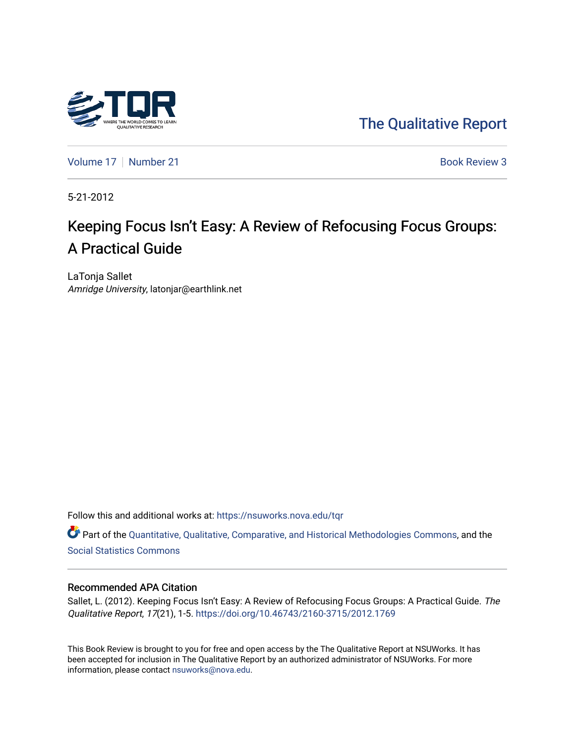

[The Qualitative Report](https://nsuworks.nova.edu/tqr) 

[Volume 17](https://nsuworks.nova.edu/tqr/vol17) | [Number 21](https://nsuworks.nova.edu/tqr/vol17/iss21) Book Review 3

5-21-2012

# Keeping Focus Isn't Easy: A Review of Refocusing Focus Groups: A Practical Guide

LaTonja Sallet Amridge University, latonjar@earthlink.net

Follow this and additional works at: [https://nsuworks.nova.edu/tqr](https://nsuworks.nova.edu/tqr?utm_source=nsuworks.nova.edu%2Ftqr%2Fvol17%2Fiss21%2F3&utm_medium=PDF&utm_campaign=PDFCoverPages) 

Part of the [Quantitative, Qualitative, Comparative, and Historical Methodologies Commons,](http://network.bepress.com/hgg/discipline/423?utm_source=nsuworks.nova.edu%2Ftqr%2Fvol17%2Fiss21%2F3&utm_medium=PDF&utm_campaign=PDFCoverPages) and the [Social Statistics Commons](http://network.bepress.com/hgg/discipline/1275?utm_source=nsuworks.nova.edu%2Ftqr%2Fvol17%2Fiss21%2F3&utm_medium=PDF&utm_campaign=PDFCoverPages) 

### Recommended APA Citation

Sallet, L. (2012). Keeping Focus Isn't Easy: A Review of Refocusing Focus Groups: A Practical Guide. The Qualitative Report, 17(21), 1-5. <https://doi.org/10.46743/2160-3715/2012.1769>

This Book Review is brought to you for free and open access by the The Qualitative Report at NSUWorks. It has been accepted for inclusion in The Qualitative Report by an authorized administrator of NSUWorks. For more information, please contact [nsuworks@nova.edu.](mailto:nsuworks@nova.edu)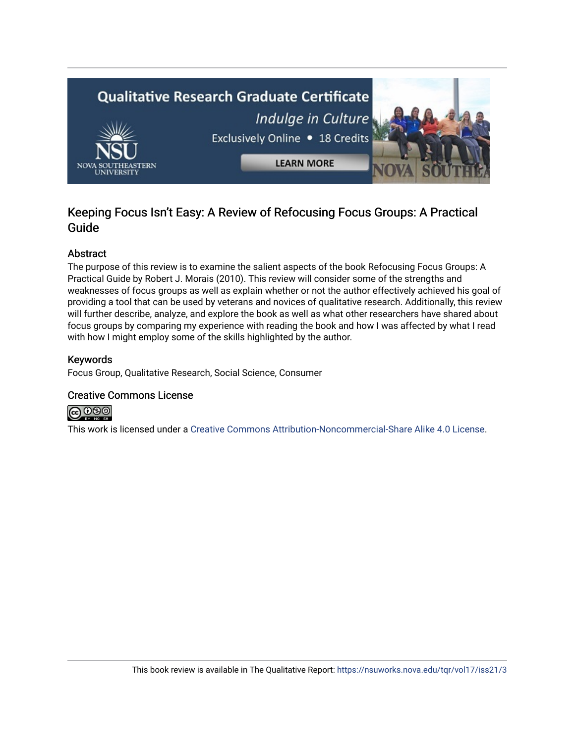

## Keeping Focus Isn't Easy: A Review of Refocusing Focus Groups: A Practical Guide

### Abstract

The purpose of this review is to examine the salient aspects of the book Refocusing Focus Groups: A Practical Guide by Robert J. Morais (2010). This review will consider some of the strengths and weaknesses of focus groups as well as explain whether or not the author effectively achieved his goal of providing a tool that can be used by veterans and novices of qualitative research. Additionally, this review will further describe, analyze, and explore the book as well as what other researchers have shared about focus groups by comparing my experience with reading the book and how I was affected by what I read with how I might employ some of the skills highlighted by the author.

### Keywords

Focus Group, Qualitative Research, Social Science, Consumer

### Creative Commons License



This work is licensed under a [Creative Commons Attribution-Noncommercial-Share Alike 4.0 License](https://creativecommons.org/licenses/by-nc-sa/4.0/).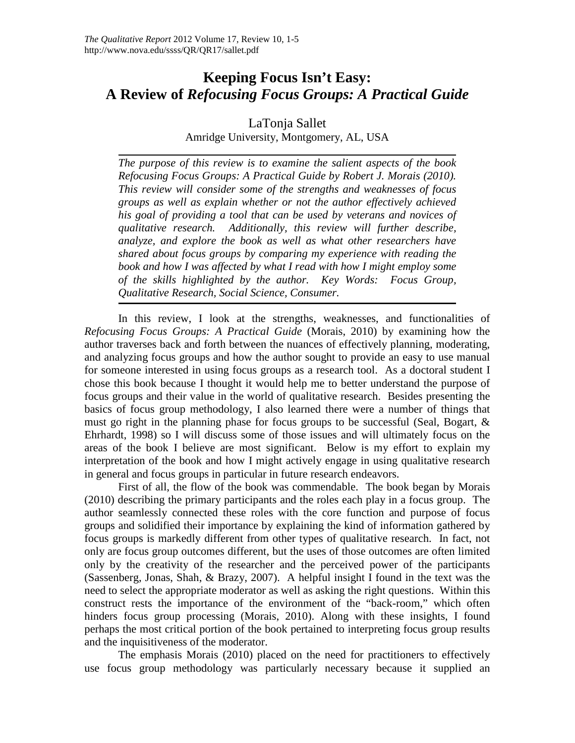# **Keeping Focus Isn't Easy: A Review of** *Refocusing Focus Groups: A Practical Guide*

### LaTonja Sallet Amridge University, Montgomery, AL, USA

*The purpose of this review is to examine the salient aspects of the book Refocusing Focus Groups: A Practical Guide by Robert J. Morais (2010). This review will consider some of the strengths and weaknesses of focus groups as well as explain whether or not the author effectively achieved his goal of providing a tool that can be used by veterans and novices of qualitative research. Additionally, this review will further describe, analyze, and explore the book as well as what other researchers have shared about focus groups by comparing my experience with reading the book and how I was affected by what I read with how I might employ some of the skills highlighted by the author. Key Words: Focus Group, Qualitative Research, Social Science, Consumer.*

In this review, I look at the strengths, weaknesses, and functionalities of *Refocusing Focus Groups: A Practical Guide* (Morais, 2010) by examining how the author traverses back and forth between the nuances of effectively planning, moderating, and analyzing focus groups and how the author sought to provide an easy to use manual for someone interested in using focus groups as a research tool. As a doctoral student I chose this book because I thought it would help me to better understand the purpose of focus groups and their value in the world of qualitative research. Besides presenting the basics of focus group methodology, I also learned there were a number of things that must go right in the planning phase for focus groups to be successful (Seal, Bogart, & Ehrhardt, 1998) so I will discuss some of those issues and will ultimately focus on the areas of the book I believe are most significant. Below is my effort to explain my interpretation of the book and how I might actively engage in using qualitative research in general and focus groups in particular in future research endeavors.

First of all, the flow of the book was commendable. The book began by Morais (2010) describing the primary participants and the roles each play in a focus group. The author seamlessly connected these roles with the core function and purpose of focus groups and solidified their importance by explaining the kind of information gathered by focus groups is markedly different from other types of qualitative research. In fact, not only are focus group outcomes different, but the uses of those outcomes are often limited only by the creativity of the researcher and the perceived power of the participants (Sassenberg, Jonas, Shah, & Brazy, 2007). A helpful insight I found in the text was the need to select the appropriate moderator as well as asking the right questions. Within this construct rests the importance of the environment of the "back-room," which often hinders focus group processing (Morais, 2010). Along with these insights, I found perhaps the most critical portion of the book pertained to interpreting focus group results and the inquisitiveness of the moderator.

The emphasis Morais (2010) placed on the need for practitioners to effectively use focus group methodology was particularly necessary because it supplied an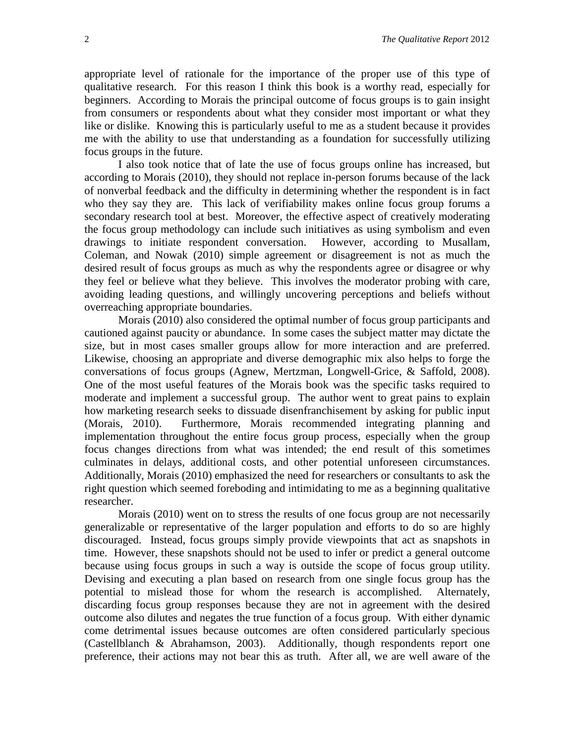appropriate level of rationale for the importance of the proper use of this type of qualitative research. For this reason I think this book is a worthy read, especially for beginners. According to Morais the principal outcome of focus groups is to gain insight from consumers or respondents about what they consider most important or what they like or dislike. Knowing this is particularly useful to me as a student because it provides me with the ability to use that understanding as a foundation for successfully utilizing focus groups in the future.

I also took notice that of late the use of focus groups online has increased, but according to Morais (2010), they should not replace in-person forums because of the lack of nonverbal feedback and the difficulty in determining whether the respondent is in fact who they say they are. This lack of verifiability makes online focus group forums a secondary research tool at best. Moreover, the effective aspect of creatively moderating the focus group methodology can include such initiatives as using symbolism and even drawings to initiate respondent conversation. However, according to Musallam, Coleman, and Nowak (2010) simple agreement or disagreement is not as much the desired result of focus groups as much as why the respondents agree or disagree or why they feel or believe what they believe. This involves the moderator probing with care, avoiding leading questions, and willingly uncovering perceptions and beliefs without overreaching appropriate boundaries.

Morais (2010) also considered the optimal number of focus group participants and cautioned against paucity or abundance. In some cases the subject matter may dictate the size, but in most cases smaller groups allow for more interaction and are preferred. Likewise, choosing an appropriate and diverse demographic mix also helps to forge the conversations of focus groups (Agnew, Mertzman, Longwell-Grice, & Saffold, 2008). One of the most useful features of the Morais book was the specific tasks required to moderate and implement a successful group. The author went to great pains to explain how marketing research seeks to dissuade disenfranchisement by asking for public input (Morais, 2010). Furthermore, Morais recommended integrating planning and implementation throughout the entire focus group process, especially when the group focus changes directions from what was intended; the end result of this sometimes culminates in delays, additional costs, and other potential unforeseen circumstances. Additionally, Morais (2010) emphasized the need for researchers or consultants to ask the right question which seemed foreboding and intimidating to me as a beginning qualitative researcher.

Morais (2010) went on to stress the results of one focus group are not necessarily generalizable or representative of the larger population and efforts to do so are highly discouraged. Instead, focus groups simply provide viewpoints that act as snapshots in time. However, these snapshots should not be used to infer or predict a general outcome because using focus groups in such a way is outside the scope of focus group utility. Devising and executing a plan based on research from one single focus group has the potential to mislead those for whom the research is accomplished. Alternately, discarding focus group responses because they are not in agreement with the desired outcome also dilutes and negates the true function of a focus group. With either dynamic come detrimental issues because outcomes are often considered particularly specious (Castellblanch & Abrahamson, 2003). Additionally, though respondents report one preference, their actions may not bear this as truth. After all, we are well aware of the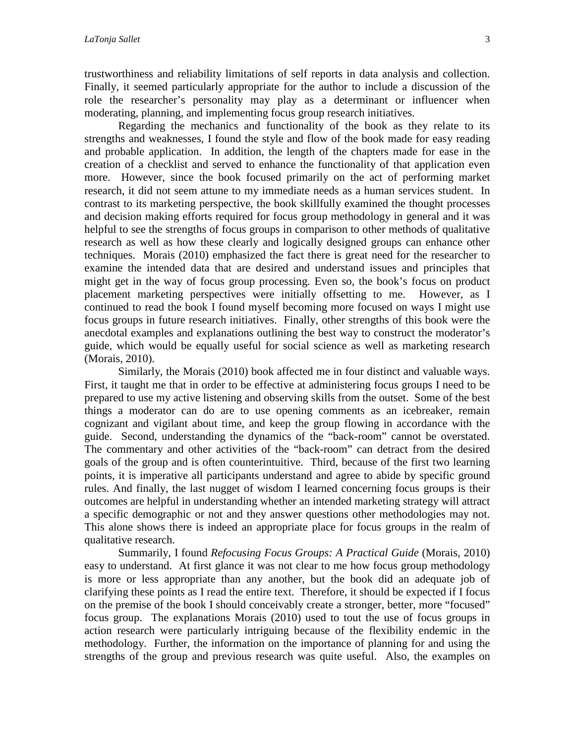trustworthiness and reliability limitations of self reports in data analysis and collection. Finally, it seemed particularly appropriate for the author to include a discussion of the role the researcher's personality may play as a determinant or influencer when moderating, planning, and implementing focus group research initiatives.

Regarding the mechanics and functionality of the book as they relate to its strengths and weaknesses, I found the style and flow of the book made for easy reading and probable application. In addition, the length of the chapters made for ease in the creation of a checklist and served to enhance the functionality of that application even more. However, since the book focused primarily on the act of performing market research, it did not seem attune to my immediate needs as a human services student. In contrast to its marketing perspective, the book skillfully examined the thought processes and decision making efforts required for focus group methodology in general and it was helpful to see the strengths of focus groups in comparison to other methods of qualitative research as well as how these clearly and logically designed groups can enhance other techniques. Morais (2010) emphasized the fact there is great need for the researcher to examine the intended data that are desired and understand issues and principles that might get in the way of focus group processing. Even so, the book's focus on product placement marketing perspectives were initially offsetting to me. However, as I continued to read the book I found myself becoming more focused on ways I might use focus groups in future research initiatives. Finally, other strengths of this book were the anecdotal examples and explanations outlining the best way to construct the moderator's guide, which would be equally useful for social science as well as marketing research (Morais, 2010).

Similarly, the Morais (2010) book affected me in four distinct and valuable ways. First, it taught me that in order to be effective at administering focus groups I need to be prepared to use my active listening and observing skills from the outset. Some of the best things a moderator can do are to use opening comments as an icebreaker, remain cognizant and vigilant about time, and keep the group flowing in accordance with the guide. Second, understanding the dynamics of the "back-room" cannot be overstated. The commentary and other activities of the "back-room" can detract from the desired goals of the group and is often counterintuitive. Third, because of the first two learning points, it is imperative all participants understand and agree to abide by specific ground rules. And finally, the last nugget of wisdom I learned concerning focus groups is their outcomes are helpful in understanding whether an intended marketing strategy will attract a specific demographic or not and they answer questions other methodologies may not. This alone shows there is indeed an appropriate place for focus groups in the realm of qualitative research.

Summarily, I found *Refocusing Focus Groups: A Practical Guide* (Morais, 2010) easy to understand. At first glance it was not clear to me how focus group methodology is more or less appropriate than any another, but the book did an adequate job of clarifying these points as I read the entire text. Therefore, it should be expected if I focus on the premise of the book I should conceivably create a stronger, better, more "focused" focus group. The explanations Morais (2010) used to tout the use of focus groups in action research were particularly intriguing because of the flexibility endemic in the methodology. Further, the information on the importance of planning for and using the strengths of the group and previous research was quite useful. Also, the examples on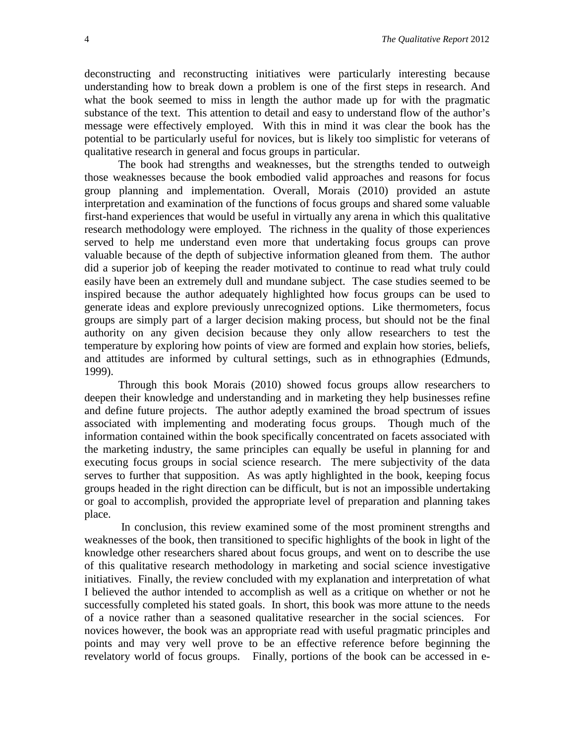deconstructing and reconstructing initiatives were particularly interesting because understanding how to break down a problem is one of the first steps in research. And what the book seemed to miss in length the author made up for with the pragmatic substance of the text. This attention to detail and easy to understand flow of the author's message were effectively employed. With this in mind it was clear the book has the potential to be particularly useful for novices, but is likely too simplistic for veterans of qualitative research in general and focus groups in particular.

The book had strengths and weaknesses, but the strengths tended to outweigh those weaknesses because the book embodied valid approaches and reasons for focus group planning and implementation. Overall, Morais (2010) provided an astute interpretation and examination of the functions of focus groups and shared some valuable first-hand experiences that would be useful in virtually any arena in which this qualitative research methodology were employed. The richness in the quality of those experiences served to help me understand even more that undertaking focus groups can prove valuable because of the depth of subjective information gleaned from them. The author did a superior job of keeping the reader motivated to continue to read what truly could easily have been an extremely dull and mundane subject. The case studies seemed to be inspired because the author adequately highlighted how focus groups can be used to generate ideas and explore previously unrecognized options. Like thermometers, focus groups are simply part of a larger decision making process, but should not be the final authority on any given decision because they only allow researchers to test the temperature by exploring how points of view are formed and explain how stories, beliefs, and attitudes are informed by cultural settings, such as in ethnographies (Edmunds, 1999).

Through this book Morais (2010) showed focus groups allow researchers to deepen their knowledge and understanding and in marketing they help businesses refine and define future projects. The author adeptly examined the broad spectrum of issues associated with implementing and moderating focus groups. Though much of the information contained within the book specifically concentrated on facets associated with the marketing industry, the same principles can equally be useful in planning for and executing focus groups in social science research. The mere subjectivity of the data serves to further that supposition. As was aptly highlighted in the book, keeping focus groups headed in the right direction can be difficult, but is not an impossible undertaking or goal to accomplish, provided the appropriate level of preparation and planning takes place.

In conclusion, this review examined some of the most prominent strengths and weaknesses of the book, then transitioned to specific highlights of the book in light of the knowledge other researchers shared about focus groups, and went on to describe the use of this qualitative research methodology in marketing and social science investigative initiatives. Finally, the review concluded with my explanation and interpretation of what I believed the author intended to accomplish as well as a critique on whether or not he successfully completed his stated goals. In short, this book was more attune to the needs of a novice rather than a seasoned qualitative researcher in the social sciences. For novices however, the book was an appropriate read with useful pragmatic principles and points and may very well prove to be an effective reference before beginning the revelatory world of focus groups. Finally, portions of the book can be accessed in e-